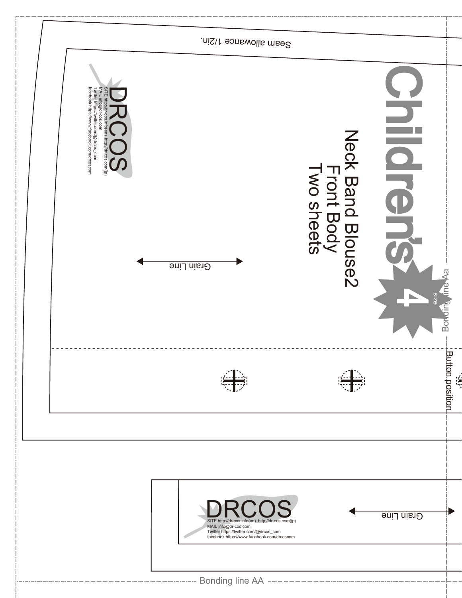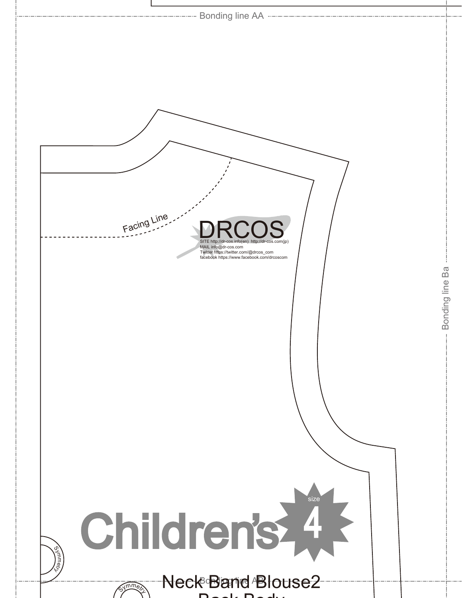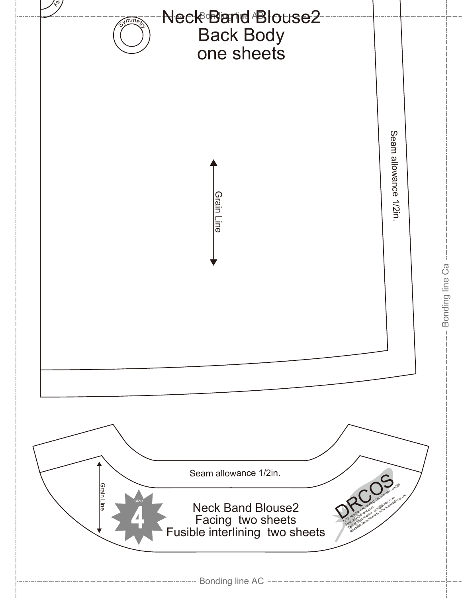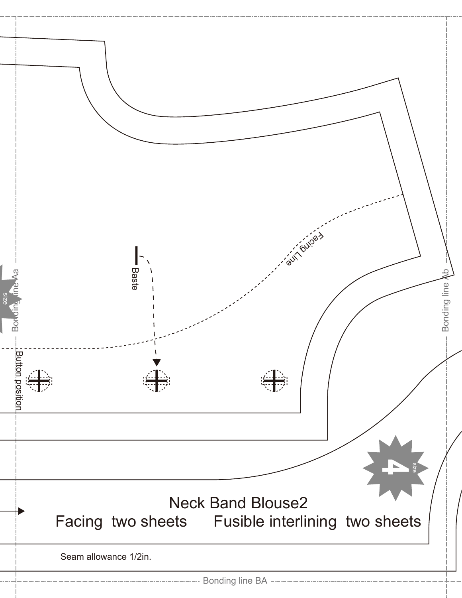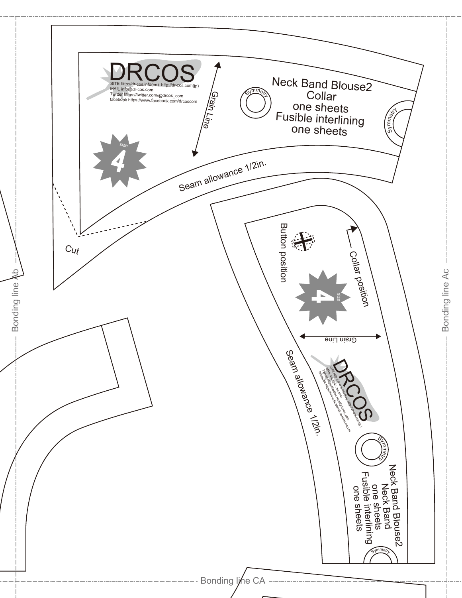